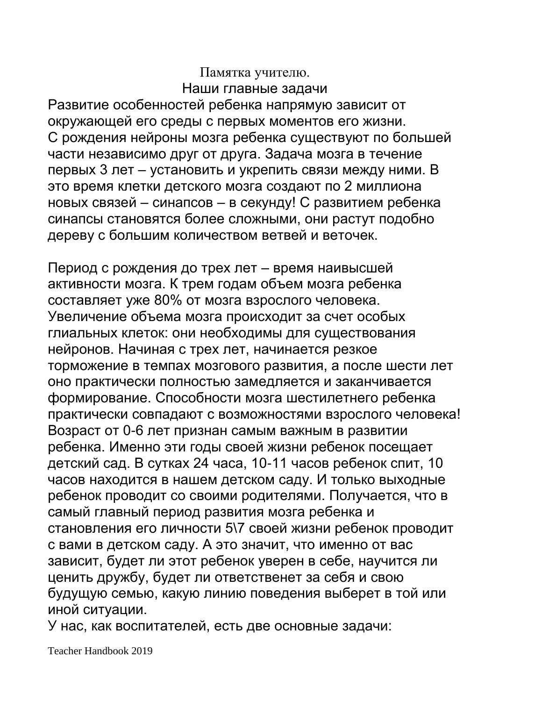### Памятка учителю. Наши главные задачи

Развитие особенностей ребенка напрямую зависит от окружающей его среды с первых моментов его жизни. С рождения нейроны мозга ребенка существуют по большей части независимо друг от друга. Задача мозга в течение первых 3 лет – установить и укрепить связи между ними. В это время клетки детского мозга создают по 2 миллиона новых связей – синапсов – в секунду! С развитием ребенка синапсы становятся более сложными, они растут подобно дереву с большим количеством ветвей и веточек.

Период с рождения до трех лет – время наивысшей активности мозга. К трем годам объем мозга ребенка составляет уже 80% от мозга взрослого человека. Увеличение объема мозга происходит за счет особых глиальных клеток: они необходимы для существования нейронов. Начиная с трех лет, начинается резкое торможение в темпах мозгового развития, а после шести лет оно практически полностью замедляется и заканчивается формирование. Способности мозга шестилетнего ребенка практически совпадают с возможностями взрослого человека! Возраст от 0-6 лет признан самым важным в развитии ребенка. Именно эти годы своей жизни ребенок посещает детский сад. В сутках 24 часа, 10-11 часов ребенок спит, 10 часов находится в нашем детском саду. И только выходные ребенок проводит со своими родителями. Получается, что в самый главный период развития мозга ребенка и становления его личности 5\7 своей жизни ребенок проводит с вами в детском саду. А это значит, что именно от вас зависит, будет ли этот ребенок уверен в себе, научится ли ценить дружбу, будет ли ответственет за себя и свою будущую семью, какую линию поведения выберет в той или иной ситуации.

У нас, как воспитателей, есть две основные задачи: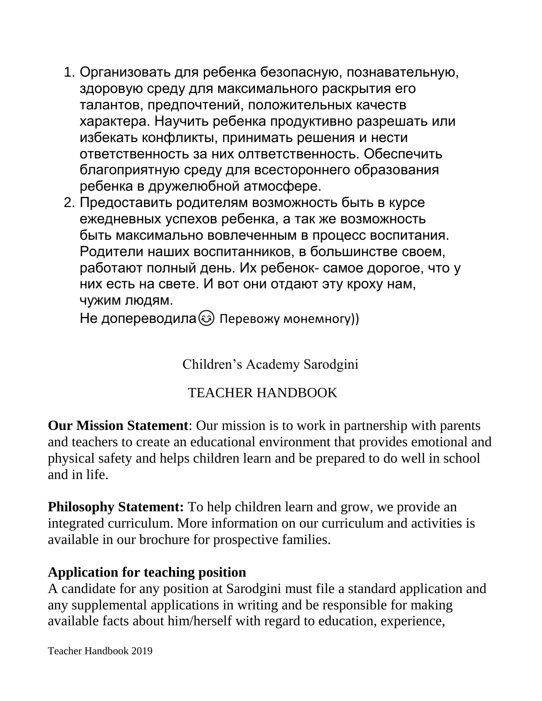- 1. Организовать для ребенка безопасную, познавательную, здоровую среду для максимального раскрытия его талантов, предпочтений, положительных качеств характера. Научить ребенка продуктивно разрешать или избекать конфликты, принимать решения и нести ответственность за них олтветственность. Обеспечить благоприятную среду для всестороннего образования ребенка в дружелюбной атмосфере.
- 2. Предоставить родителям возможность быть в курсе ежедневных успехов ребенка, а так же возможность быть максимально вовлеченным в процесс воспитания. Родители наших воспитанников, в большинстве своем, работают полный день. Их ребенок- самое дорогое, что у них есть на свете. И вот они отдают эту кроху нам, чужим людям.

Не допереводила **Э Перевожу монемногу)** 

Children's Academy Sarodgini

# TEACHER HANDBOOK

**Our Mission Statement**: Our mission is to work in partnership with parents and teachers to create an educational environment that provides emotional and physical safety and helps children learn and be prepared to do well in school and in life.

**Philosophy Statement:** To help children learn and grow, we provide an integrated curriculum. More information on our curriculum and activities is available in our brochure for prospective families.

### **Application for teaching position**

A candidate for any position at Sarodgini must file a standard application and any supplemental applications in writing and be responsible for making available facts about him/herself with regard to education, experience,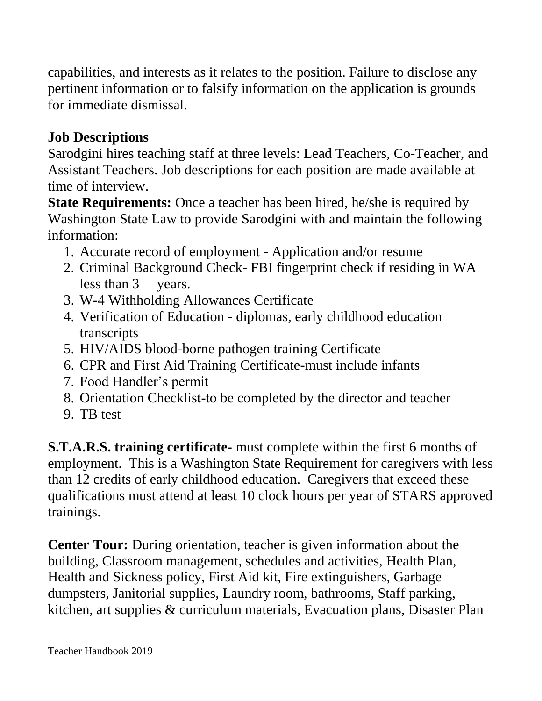capabilities, and interests as it relates to the position. Failure to disclose any pertinent information or to falsify information on the application is grounds for immediate dismissal.

# **Job Descriptions**

Sarodgini hires teaching staff at three levels: Lead Teachers, Co-Teacher, and Assistant Teachers. Job descriptions for each position are made available at time of interview.

**State Requirements:** Once a teacher has been hired, he/she is required by Washington State Law to provide Sarodgini with and maintain the following information:

- 1. Accurate record of employment Application and/or resume
- 2. Criminal Background Check- FBI fingerprint check if residing in WA less than 3 vears.
- 3. W-4 Withholding Allowances Certificate
- 4. Verification of Education diplomas, early childhood education transcripts
- 5. HIV/AIDS blood-borne pathogen training Certificate
- 6. CPR and First Aid Training Certificate-must include infants
- 7. Food Handler's permit
- 8. Orientation Checklist-to be completed by the director and teacher
- 9. TB test

**S.T.A.R.S. training certificate-** must complete within the first 6 months of employment. This is a Washington State Requirement for caregivers with less than 12 credits of early childhood education. Caregivers that exceed these qualifications must attend at least 10 clock hours per year of STARS approved trainings.

**Center Tour:** During orientation, teacher is given information about the building, Classroom management, schedules and activities, Health Plan, Health and Sickness policy, First Aid kit, Fire extinguishers, Garbage dumpsters, Janitorial supplies, Laundry room, bathrooms, Staff parking, kitchen, art supplies & curriculum materials, Evacuation plans, Disaster Plan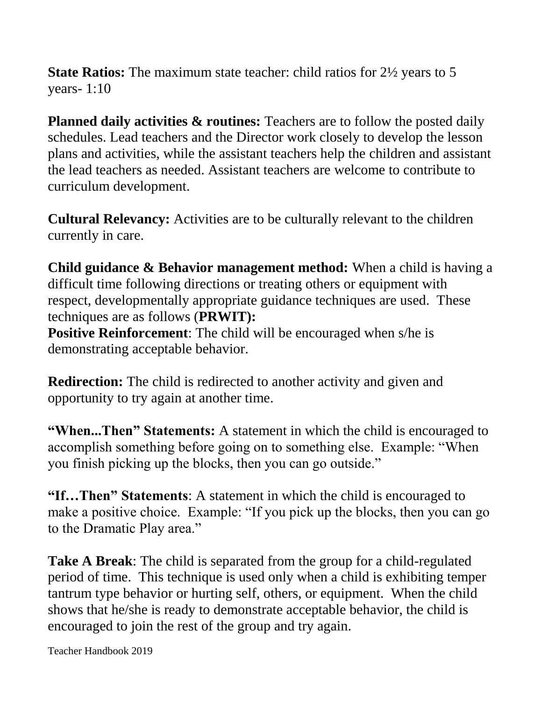**State Ratios:** The maximum state teacher: child ratios for 2½ years to 5 years- 1:10

**Planned daily activities & routines:** Teachers are to follow the posted daily schedules. Lead teachers and the Director work closely to develop the lesson plans and activities, while the assistant teachers help the children and assistant the lead teachers as needed. Assistant teachers are welcome to contribute to curriculum development.

**Cultural Relevancy:** Activities are to be culturally relevant to the children currently in care.

**Child guidance & Behavior management method:** When a child is having a difficult time following directions or treating others or equipment with respect, developmentally appropriate guidance techniques are used. These techniques are as follows (**PRWIT): Positive Reinforcement:** The child will be encouraged when s/he is

demonstrating acceptable behavior.

**Redirection:** The child is redirected to another activity and given and opportunity to try again at another time.

**"When...Then" Statements:** A statement in which the child is encouraged to accomplish something before going on to something else. Example: "When you finish picking up the blocks, then you can go outside."

**"If…Then" Statements**: A statement in which the child is encouraged to make a positive choice. Example: "If you pick up the blocks, then you can go to the Dramatic Play area."

**Take A Break**: The child is separated from the group for a child-regulated period of time. This technique is used only when a child is exhibiting temper tantrum type behavior or hurting self, others, or equipment. When the child shows that he/she is ready to demonstrate acceptable behavior, the child is encouraged to join the rest of the group and try again.

Teacher Handbook 2019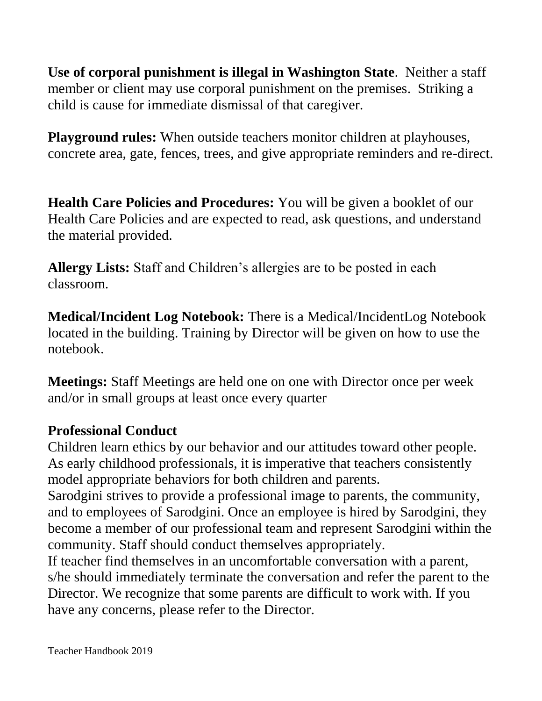**Use of corporal punishment is illegal in Washington State**. Neither a staff member or client may use corporal punishment on the premises. Striking a child is cause for immediate dismissal of that caregiver.

**Playground rules:** When outside teachers monitor children at playhouses, concrete area, gate, fences, trees, and give appropriate reminders and re-direct.

**Health Care Policies and Procedures:** You will be given a booklet of our Health Care Policies and are expected to read, ask questions, and understand the material provided.

**Allergy Lists:** Staff and Children's allergies are to be posted in each classroom.

**Medical/Incident Log Notebook:** There is a Medical/IncidentLog Notebook located in the building. Training by Director will be given on how to use the notebook.

**Meetings:** Staff Meetings are held one on one with Director once per week and/or in small groups at least once every quarter

## **Professional Conduct**

Children learn ethics by our behavior and our attitudes toward other people. As early childhood professionals, it is imperative that teachers consistently model appropriate behaviors for both children and parents.

Sarodgini strives to provide a professional image to parents, the community, and to employees of Sarodgini. Once an employee is hired by Sarodgini, they become a member of our professional team and represent Sarodgini within the community. Staff should conduct themselves appropriately.

If teacher find themselves in an uncomfortable conversation with a parent, s/he should immediately terminate the conversation and refer the parent to the Director. We recognize that some parents are difficult to work with. If you have any concerns, please refer to the Director.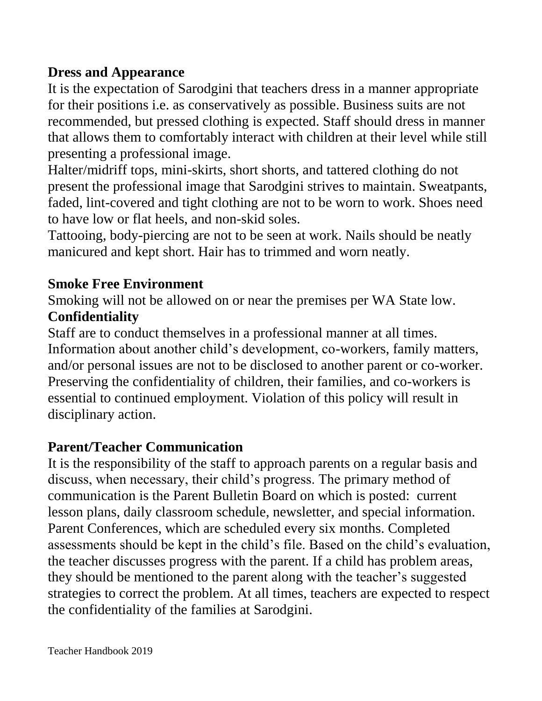## **Dress and Appearance**

It is the expectation of Sarodgini that teachers dress in a manner appropriate for their positions i.e. as conservatively as possible. Business suits are not recommended, but pressed clothing is expected. Staff should dress in manner that allows them to comfortably interact with children at their level while still presenting a professional image.

Halter/midriff tops, mini-skirts, short shorts, and tattered clothing do not present the professional image that Sarodgini strives to maintain. Sweatpants, faded, lint-covered and tight clothing are not to be worn to work. Shoes need to have low or flat heels, and non-skid soles.

Tattooing, body-piercing are not to be seen at work. Nails should be neatly manicured and kept short. Hair has to trimmed and worn neatly.

# **Smoke Free Environment**

Smoking will not be allowed on or near the premises per WA State low. **Confidentiality**

Staff are to conduct themselves in a professional manner at all times. Information about another child's development, co-workers, family matters, and/or personal issues are not to be disclosed to another parent or co-worker. Preserving the confidentiality of children, their families, and co-workers is essential to continued employment. Violation of this policy will result in disciplinary action.

# **Parent/Teacher Communication**

It is the responsibility of the staff to approach parents on a regular basis and discuss, when necessary, their child's progress. The primary method of communication is the Parent Bulletin Board on which is posted: current lesson plans, daily classroom schedule, newsletter, and special information. Parent Conferences, which are scheduled every six months. Completed assessments should be kept in the child's file. Based on the child's evaluation, the teacher discusses progress with the parent. If a child has problem areas, they should be mentioned to the parent along with the teacher's suggested strategies to correct the problem. At all times, teachers are expected to respect the confidentiality of the families at Sarodgini.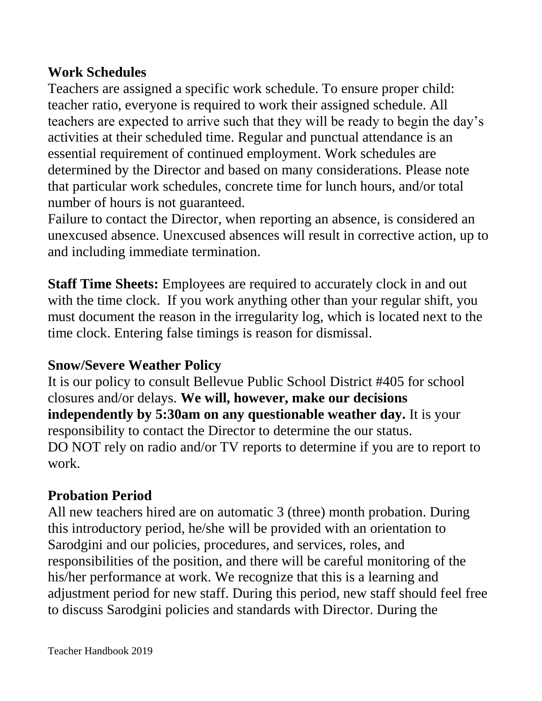## **Work Schedules**

Teachers are assigned a specific work schedule. To ensure proper child: teacher ratio, everyone is required to work their assigned schedule. All teachers are expected to arrive such that they will be ready to begin the day's activities at their scheduled time. Regular and punctual attendance is an essential requirement of continued employment. Work schedules are determined by the Director and based on many considerations. Please note that particular work schedules, concrete time for lunch hours, and/or total number of hours is not guaranteed.

Failure to contact the Director, when reporting an absence, is considered an unexcused absence. Unexcused absences will result in corrective action, up to and including immediate termination.

**Staff Time Sheets:** Employees are required to accurately clock in and out with the time clock. If you work anything other than your regular shift, you must document the reason in the irregularity log, which is located next to the time clock. Entering false timings is reason for dismissal.

# **Snow/Severe Weather Policy**

It is our policy to consult Bellevue Public School District #405 for school closures and/or delays. **We will, however, make our decisions independently by 5:30am on any questionable weather day.** It is your responsibility to contact the Director to determine the our status. DO NOT rely on radio and/or TV reports to determine if you are to report to work.

# **Probation Period**

All new teachers hired are on automatic 3 (three) month probation. During this introductory period, he/she will be provided with an orientation to Sarodgini and our policies, procedures, and services, roles, and responsibilities of the position, and there will be careful monitoring of the his/her performance at work. We recognize that this is a learning and adjustment period for new staff. During this period, new staff should feel free to discuss Sarodgini policies and standards with Director. During the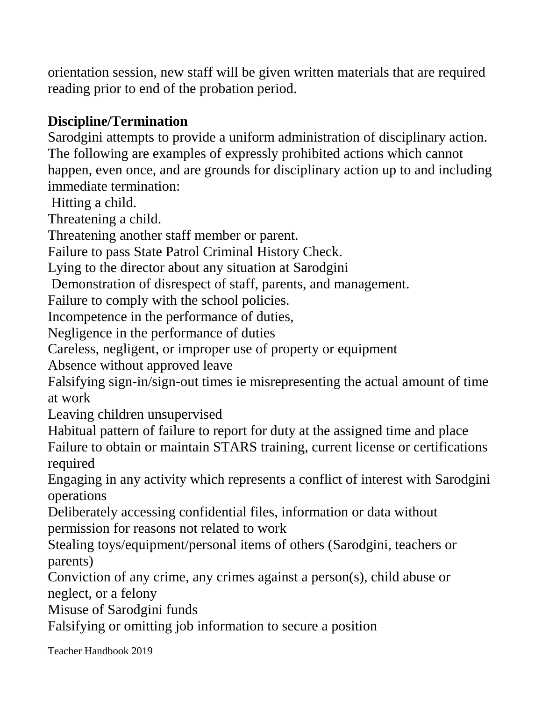orientation session, new staff will be given written materials that are required reading prior to end of the probation period.

# **Discipline/Termination**

Sarodgini attempts to provide a uniform administration of disciplinary action. The following are examples of expressly prohibited actions which cannot happen, even once, and are grounds for disciplinary action up to and including immediate termination:

Hitting a child.

Threatening a child.

Threatening another staff member or parent.

Failure to pass State Patrol Criminal History Check.

Lying to the director about any situation at Sarodgini

Demonstration of disrespect of staff, parents, and management.

Failure to comply with the school policies.

Incompetence in the performance of duties,

Negligence in the performance of duties

Careless, negligent, or improper use of property or equipment

Absence without approved leave

Falsifying sign-in/sign-out times ie misrepresenting the actual amount of time at work

Leaving children unsupervised

Habitual pattern of failure to report for duty at the assigned time and place Failure to obtain or maintain STARS training, current license or certifications required

Engaging in any activity which represents a conflict of interest with Sarodgini operations

Deliberately accessing confidential files, information or data without permission for reasons not related to work

Stealing toys/equipment/personal items of others (Sarodgini, teachers or parents)

Conviction of any crime, any crimes against a person(s), child abuse or neglect, or a felony

Misuse of Sarodgini funds

Falsifying or omitting job information to secure a position

Teacher Handbook 2019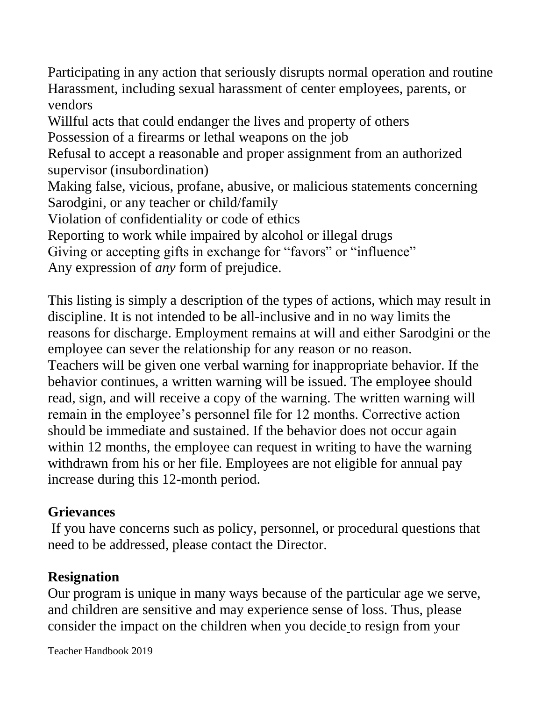Participating in any action that seriously disrupts normal operation and routine Harassment, including sexual harassment of center employees, parents, or vendors

Willful acts that could endanger the lives and property of others

Possession of a firearms or lethal weapons on the job

Refusal to accept a reasonable and proper assignment from an authorized supervisor (insubordination)

Making false, vicious, profane, abusive, or malicious statements concerning Sarodgini, or any teacher or child/family

Violation of confidentiality or code of ethics

Reporting to work while impaired by alcohol or illegal drugs

Giving or accepting gifts in exchange for "favors" or "influence"

Any expression of *any* form of prejudice.

This listing is simply a description of the types of actions, which may result in discipline. It is not intended to be all-inclusive and in no way limits the reasons for discharge. Employment remains at will and either Sarodgini or the employee can sever the relationship for any reason or no reason. Teachers will be given one verbal warning for inappropriate behavior. If the behavior continues, a written warning will be issued. The employee should read, sign, and will receive a copy of the warning. The written warning will remain in the employee's personnel file for 12 months. Corrective action should be immediate and sustained. If the behavior does not occur again within 12 months, the employee can request in writing to have the warning withdrawn from his or her file. Employees are not eligible for annual pay increase during this 12-month period.

## **Grievances**

If you have concerns such as policy, personnel, or procedural questions that need to be addressed, please contact the Director.

# **Resignation**

Our program is unique in many ways because of the particular age we serve, and children are sensitive and may experience sense of loss. Thus, please consider the impact on the children when you decide to resign from your

Teacher Handbook 2019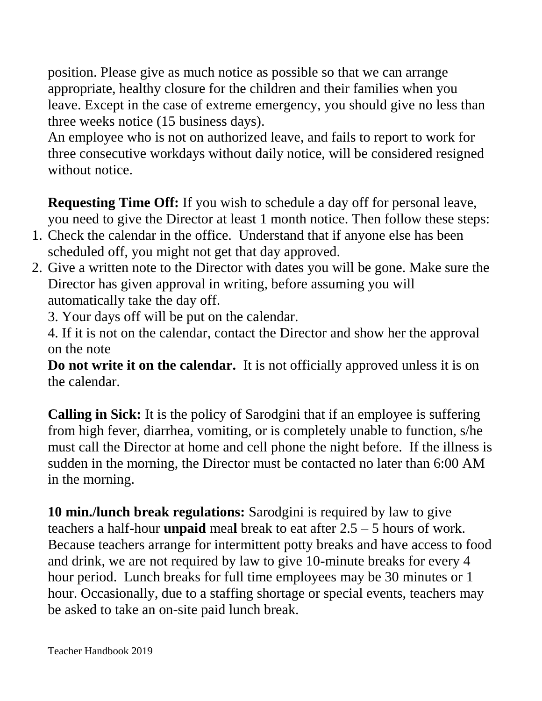position. Please give as much notice as possible so that we can arrange appropriate, healthy closure for the children and their families when you leave. Except in the case of extreme emergency, you should give no less than three weeks notice (15 business days).

An employee who is not on authorized leave, and fails to report to work for three consecutive workdays without daily notice, will be considered resigned without notice.

**Requesting Time Off:** If you wish to schedule a day off for personal leave, you need to give the Director at least 1 month notice. Then follow these steps:

- 1. Check the calendar in the office. Understand that if anyone else has been scheduled off, you might not get that day approved.
- 2. Give a written note to the Director with dates you will be gone. Make sure the Director has given approval in writing, before assuming you will automatically take the day off.
	- 3. Your days off will be put on the calendar.

4. If it is not on the calendar, contact the Director and show her the approval on the note

**Do not write it on the calendar.** It is not officially approved unless it is on the calendar.

**Calling in Sick:** It is the policy of Sarodgini that if an employee is suffering from high fever, diarrhea, vomiting, or is completely unable to function, s/he must call the Director at home and cell phone the night before. If the illness is sudden in the morning, the Director must be contacted no later than 6:00 AM in the morning.

**10 min./lunch break regulations:** Sarodgini is required by law to give teachers a half-hour **unpaid** mea**l** break to eat after 2.5 – 5 hours of work. Because teachers arrange for intermittent potty breaks and have access to food and drink, we are not required by law to give 10-minute breaks for every 4 hour period. Lunch breaks for full time employees may be 30 minutes or 1 hour. Occasionally, due to a staffing shortage or special events, teachers may be asked to take an on-site paid lunch break.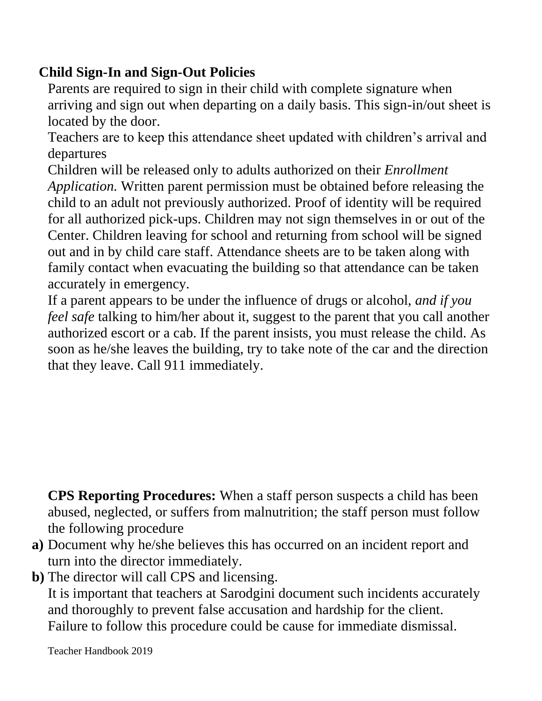# **Child Sign-In and Sign-Out Policies**

Parents are required to sign in their child with complete signature when arriving and sign out when departing on a daily basis. This sign-in/out sheet is located by the door.

Teachers are to keep this attendance sheet updated with children's arrival and departures

Children will be released only to adults authorized on their *Enrollment Application.* Written parent permission must be obtained before releasing the child to an adult not previously authorized. Proof of identity will be required for all authorized pick-ups. Children may not sign themselves in or out of the Center. Children leaving for school and returning from school will be signed out and in by child care staff. Attendance sheets are to be taken along with family contact when evacuating the building so that attendance can be taken accurately in emergency.

If a parent appears to be under the influence of drugs or alcohol, *and if you feel safe* talking to him/her about it, suggest to the parent that you call another authorized escort or a cab. If the parent insists, you must release the child. As soon as he/she leaves the building, try to take note of the car and the direction that they leave. Call 911 immediately.

**CPS Reporting Procedures:** When a staff person suspects a child has been abused, neglected, or suffers from malnutrition; the staff person must follow the following procedure

- **a)** Document why he/she believes this has occurred on an incident report and turn into the director immediately.
- **b)** The director will call CPS and licensing.

It is important that teachers at Sarodgini document such incidents accurately and thoroughly to prevent false accusation and hardship for the client. Failure to follow this procedure could be cause for immediate dismissal.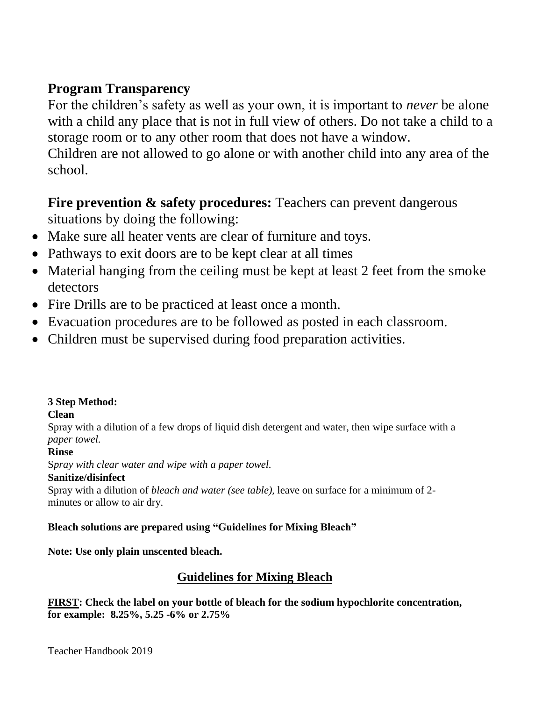## **Program Transparency**

For the children's safety as well as your own, it is important to *never* be alone with a child any place that is not in full view of others. Do not take a child to a storage room or to any other room that does not have a window.

Children are not allowed to go alone or with another child into any area of the school.

## **Fire prevention & safety procedures:** Teachers can prevent dangerous situations by doing the following:

- Make sure all heater vents are clear of furniture and toys.
- Pathways to exit doors are to be kept clear at all times
- Material hanging from the ceiling must be kept at least 2 feet from the smoke detectors
- Fire Drills are to be practiced at least once a month.
- Evacuation procedures are to be followed as posted in each classroom.
- Children must be supervised during food preparation activities.

### **3 Step Method:**

### **Clean**

Spray with a dilution of a few drops of liquid dish detergent and water, then wipe surface with a *paper towel.*

### **Rinse**

S*pray with clear water and wipe with a paper towel.*

### **Sanitize/disinfect**

Spray with a dilution of *bleach and water (see table),* leave on surface for a minimum of 2 minutes or allow to air dry.

#### **Bleach solutions are prepared using "Guidelines for Mixing Bleach"**

**Note: Use only plain unscented bleach.**

### **Guidelines for Mixing Bleach**

**FIRST: Check the label on your bottle of bleach for the sodium hypochlorite concentration, for example: 8.25%, 5.25 -6% or 2.75%**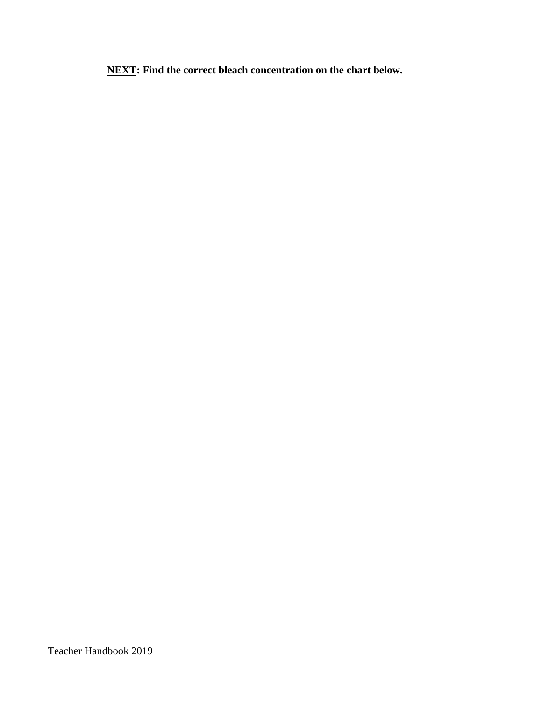**NEXT: Find the correct bleach concentration on the chart below.**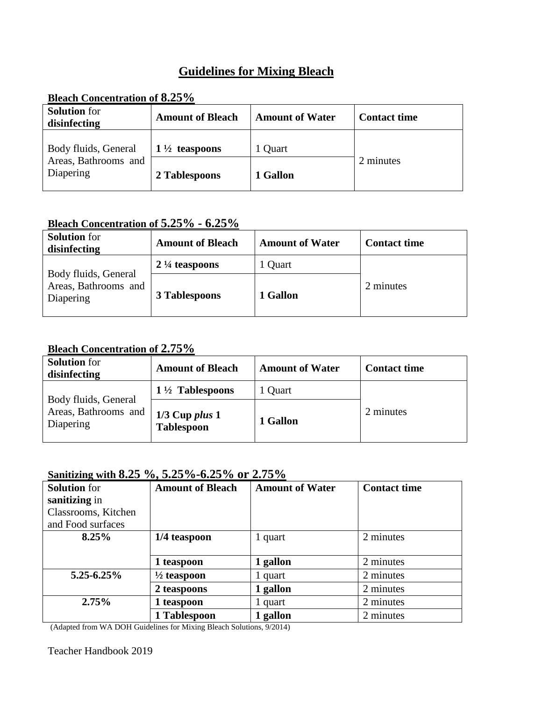## **Guidelines for Mixing Bleach**

| Dicath Contenti ation of 0.23 70                          |                          |                        |                     |  |  |
|-----------------------------------------------------------|--------------------------|------------------------|---------------------|--|--|
| <b>Solution</b> for<br>disinfecting                       | <b>Amount of Bleach</b>  | <b>Amount of Water</b> | <b>Contact time</b> |  |  |
| Body fluids, General<br>Areas, Bathrooms and<br>Diapering | $1\frac{1}{2}$ teaspoons | 1 Quart                | 2 minutes           |  |  |
|                                                           | 2 Tablespoons            | 1 Gallon               |                     |  |  |

#### **Bleach Concentration of 8.25%**

### **Bleach Concentration of 5.25% - 6.25%**

| <b>Solution</b> for<br>disinfecting                       | <b>Amount of Bleach</b>  | <b>Amount of Water</b> | <b>Contact time</b> |
|-----------------------------------------------------------|--------------------------|------------------------|---------------------|
| Body fluids, General<br>Areas, Bathrooms and<br>Diapering | $2\frac{1}{4}$ teaspoons | 1 Quart                |                     |
|                                                           | 3 Tablespoons            | 1 Gallon               | 2 minutes           |

#### **Bleach Concentration of 2.75%**

| <b>Solution</b> for<br>disinfecting                       | <b>Amount of Bleach</b>                 | <b>Amount of Water</b> | <b>Contact time</b> |
|-----------------------------------------------------------|-----------------------------------------|------------------------|---------------------|
| Body fluids, General<br>Areas, Bathrooms and<br>Diapering | $1\frac{1}{2}$ Tablespoons              | 1 Quart                |                     |
|                                                           | $1/3$ Cup plus $1$<br><b>Tablespoon</b> | 1 Gallon               | 2 minutes           |

#### **Sanitizing with 8.25 %, 5.25%-6.25% or 2.75%**

| <b>Solution</b> for | <b>Amount of Bleach</b> | <b>Amount of Water</b> | <b>Contact time</b> |
|---------------------|-------------------------|------------------------|---------------------|
| sanitizing in       |                         |                        |                     |
| Classrooms, Kitchen |                         |                        |                     |
| and Food surfaces   |                         |                        |                     |
| 8.25%               | 1/4 teaspoon            | 1 quart                | 2 minutes           |
|                     |                         |                        |                     |
|                     | 1 teaspoon              | 1 gallon               | 2 minutes           |
| $5.25 - 6.25\%$     | $\frac{1}{2}$ teaspoon  | 1 quart                | 2 minutes           |
|                     | 2 teaspoons             | 1 gallon               | 2 minutes           |
| 2.75%               | 1 teaspoon              | 1 quart                | 2 minutes           |
|                     | 1 Tablespoon            | 1 gallon               | 2 minutes           |

(Adapted from WA DOH Guidelines for Mixing Bleach Solutions, 9/2014)